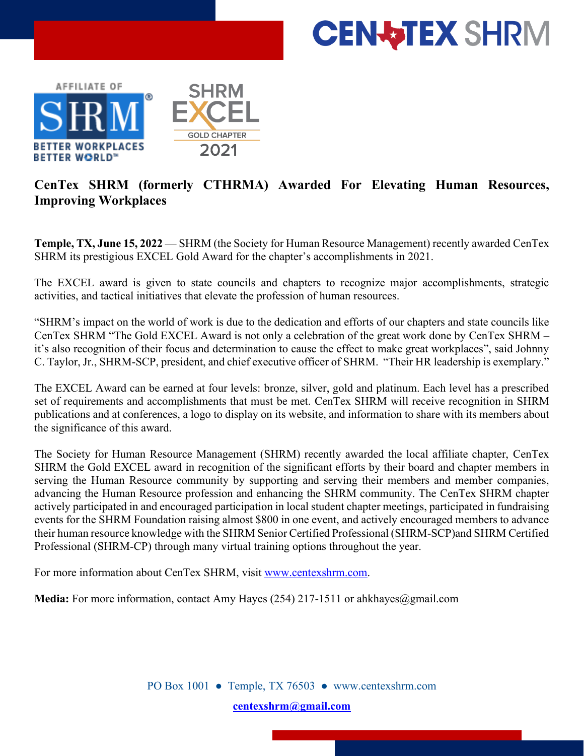



## **CenTex SHRM (formerly CTHRMA) Awarded For Elevating Human Resources, Improving Workplaces**

**Temple, TX, June 15, 2022** — SHRM (the Society for Human Resource Management) recently awarded CenTex SHRM its prestigious EXCEL Gold Award for the chapter's accomplishments in 2021.

The EXCEL award is given to state councils and chapters to recognize major accomplishments, strategic activities, and tactical initiatives that elevate the profession of human resources.

"SHRM's impact on the world of work is due to the dedication and efforts of our chapters and state councils like CenTex SHRM "The Gold EXCEL Award is not only a celebration of the great work done by CenTex SHRM – it's also recognition of their focus and determination to cause the effect to make great workplaces", said Johnny C. Taylor, Jr., SHRM-SCP, president, and chief executive officer of SHRM. "Their HR leadership is exemplary."

The EXCEL Award can be earned at four levels: bronze, silver, gold and platinum. Each level has a prescribed set of requirements and accomplishments that must be met. CenTex SHRM will receive recognition in SHRM publications and at conferences, a logo to display on its website, and information to share with its members about the significance of this award.

The Society for Human Resource Management (SHRM) recently awarded the local affiliate chapter, CenTex SHRM the Gold EXCEL award in recognition of the significant efforts by their board and chapter members in serving the Human Resource community by supporting and serving their members and member companies, advancing the Human Resource profession and enhancing the SHRM community. The CenTex SHRM chapter actively participated in and encouraged participation in local student chapter meetings, participated in fundraising events for the SHRM Foundation raising almost \$800 in one event, and actively encouraged members to advance their human resource knowledge with the SHRM Senior Certified Professional (SHRM-SCP)and SHRM Certified Professional (SHRM-CP) through many virtual training options throughout the year.

For more information about CenTex SHRM, visit [www.centexshrm.com.](http://www.centexshrm.com/)

**Media:** For more information, contact Amy Hayes (254) 217-1511 or ahkhayes@gmail.com